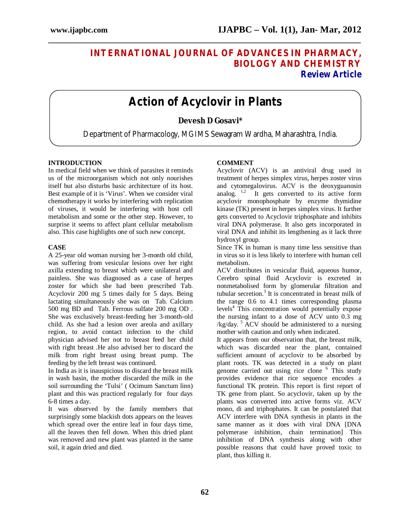## **INTERNATIONAL JOURNAL OF ADVANCES IN PHARMACY, BIOLOGY AND CHEMISTRY Review Article**

# **Action of Acyclovir in Plants**

**\_\_\_\_\_\_\_\_\_\_\_\_\_\_\_\_\_\_\_\_\_\_\_\_\_\_\_\_\_\_\_\_\_\_\_\_\_\_\_\_\_\_\_\_\_\_\_\_\_\_\_\_\_\_\_\_\_\_\_\_\_\_\_\_\_\_\_\_\_\_\_\_\_\_\_\_\_\_**

### **Devesh D Gosavi\***

Department of Pharmacology, MGIMS Sewagram Wardha, Maharashtra, India.

#### **INTRODUCTION**

In medical field when we think of parasites it reminds us of the microorganism which not only nourishes itself but also disturbs basic architecture of its host. Best example of it is 'Virus'. When we consider viral chemotherapy it works by interfering with replication of viruses, it would be interfering with host cell metabolism and some or the other step. However, to surprise it seems to affect plant cellular metabolism also. This case highlights one of such new concept.

#### **CASE**

A 25-year old woman nursing her 3-month old child, was suffering from vesicular lesions over her right axilla extending to breast which were unilateral and painless. She was diagnosed as a case of herpes zoster for which she had been prescribed Tab. Acyclovir 200 mg 5 times daily for 5 days. Being lactating simultaneously she was on Tab. Calcium 500 mg BD and Tab. Ferrous sulfate 200 mg OD . She was exclusively breast-feeding her 3-month-old child. As she had a lesion over areola and axillary region, to avoid contact infection to the child physician advised her not to breast feed her child with right breast .He also advised her to discard the milk from right breast using breast pump. The feeding by the left breast was continued.

In India as it is inauspicious to discard the breast milk in wash basin, the mother discarded the milk in the soil surrounding the 'Tulsi' ( Ocimum Sanctum linn) plant and this was practiced regularly for four days 6-8 times a day.

It was observed by the family members that surprisingly some blackish dots appears on the leaves which spread over the entire leaf in four days time, all the leaves then fell down. When this dried plant was removed and new plant was planted in the same soil, it again dried and died.

#### **COMMENT**

Acyclovir (ACV) is an antiviral drug used in treatment of herpes simplex virus, herpes zoster virus and cytomegalovirus. ACV is the deoxyguanosin analog.  $1,2$  It gets converted to its active form acyclovir monophosphate by enzyme thymidine kinase (TK) present in herpes simplex virus. It further gets converted to Acyclovir triphosphate and inhibits viral DNA polymerase. It also gets incorporated in viral DNA and inhibit its lengthening as it lack three hydroxyl group.

Since TK in human is many time less sensitive than in virus so it is less likely to interfere with human cell metabolism.

ACV distributes in vesicular fluid, aqueous humor, Cerebro spinal fluid Acyclovir is excreted in nonmetabolised form by glomerular filtration and tubular secretion.<sup>3</sup> It is concentrated in breast milk of the range 0.6 to 4.1 times corresponding plasma levels<sup>4</sup> This concentration would potentially expose the nursing infant to a dose of ACV unto 0.3 mg /kg/day.<sup>5</sup> ACV should be administered to a nursing mother with caution and only when indicated.

It appears from our observation that, the breast milk, which was discarded near the plant, contained sufficient amount of acyclovir to be absorbed by plant roots. TK was detected in a study on plant genome carried out using rice clone <sup>6</sup> This study provides evidence that rice sequence encodes a functional TK protein. This report is first report of TK gene from plant. So acyclovir, taken up by the plants was converted into active forms viz. ACV mono, di and triphophates. It can be postulated that ACV interfere with DNA synthesis in plants in the same manner as it does with viral DNA [DNA polymerase inhibition, chain termination] This inhibition of DNA synthesis along with other possible reasons that could have proved toxic to plant, thus killing it.